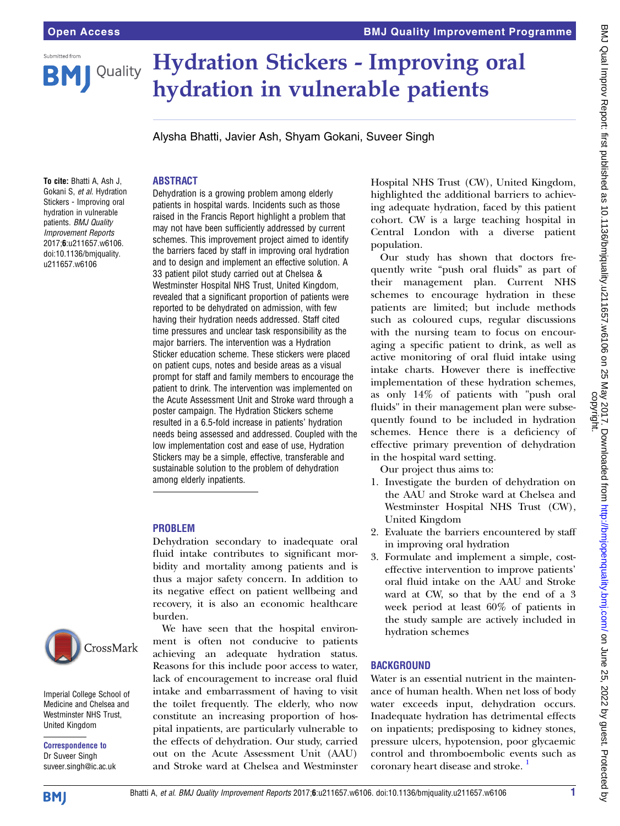

# Hydration Stickers - Improving oral hydration in vulnerable patients

Alysha Bhatti, Javier Ash, Shyam Gokani, Suveer Singh

# ABSTRACT

To cite: Bhatti A, Ash J, Gokani S, et al. Hydration Stickers - Improving oral hydration in vulnerable patients. BMJ Quality Improvement Reports 2017;6:u211657.w6106. doi:10.1136/bmjquality. u211657.w6106

Dehydration is a growing problem among elderly patients in hospital wards. Incidents such as those raised in the Francis Report highlight a problem that may not have been sufficiently addressed by current schemes. This improvement project aimed to identify the barriers faced by staff in improving oral hydration and to design and implement an effective solution. A 33 patient pilot study carried out at Chelsea & Westminster Hospital NHS Trust, United Kingdom, revealed that a significant proportion of patients were reported to be dehydrated on admission, with few having their hydration needs addressed. Staff cited time pressures and unclear task responsibility as the major barriers. The intervention was a Hydration Sticker education scheme. These stickers were placed on patient cups, notes and beside areas as a visual prompt for staff and family members to encourage the patient to drink. The intervention was implemented on the Acute Assessment Unit and Stroke ward through a poster campaign. The Hydration Stickers scheme resulted in a 6.5-fold increase in patients' hydration needs being assessed and addressed. Coupled with the low implementation cost and ease of use, Hydration Stickers may be a simple, effective, transferable and sustainable solution to the problem of dehydration among elderly inpatients.

# PROBLEM

Dehydration secondary to inadequate oral fluid intake contributes to significant morbidity and mortality among patients and is thus a major safety concern. In addition to its negative effect on patient wellbeing and recovery, it is also an economic healthcare burden.

We have seen that the hospital environment is often not conducive to patients achieving an adequate hydration status. Reasons for this include poor access to water, lack of encouragement to increase oral fluid intake and embarrassment of having to visit the toilet frequently. The elderly, who now constitute an increasing proportion of hospital inpatients, are particularly vulnerable to the effects of dehydration. Our study, carried out on the Acute Assessment Unit (AAU) and Stroke ward at Chelsea and Westminster

Hospital NHS Trust (CW), United Kingdom, highlighted the additional barriers to achieving adequate hydration, faced by this patient cohort. CW is a large teaching hospital in Central London with a diverse patient population.

Our study has shown that doctors frequently write "push oral fluids" as part of their management plan. Current NHS schemes to encourage hydration in these patients are limited; but include methods such as coloured cups, regular discussions with the nursing team to focus on encouraging a specific patient to drink, as well as active monitoring of oral fluid intake using intake charts. However there is ineffective implementation of these hydration schemes, as only 14% of patients with "push oral fluids" in their management plan were subsequently found to be included in hydration schemes. Hence there is a deficiency of effective primary prevention of dehydration in the hospital ward setting.

Our project thus aims to:

- 1. Investigate the burden of dehydration on the AAU and Stroke ward at Chelsea and Westminster Hospital NHS Trust (CW), United Kingdom
- 2. Evaluate the barriers encountered by staff in improving oral hydration
- 3. Formulate and implement a simple, costeffective intervention to improve patients' oral fluid intake on the AAU and Stroke ward at CW, so that by the end of a 3 week period at least 60% of patients in the study sample are actively included in hydration schemes

# BACKGROUND

Water is an essential nutrient in the maintenance of human health. When net loss of body water exceeds input, dehydration occurs. Inadequate hydration has detrimental effects on inpatients; predisposing to kidney stones, pressure ulcers, hypotension, poor glycaemic control and thromboembolic events such as coronary heart disease and stroke.<sup>[1](#page-5-0)</sup>



Imperial College School of Medicine and Chelsea and Westminster NHS Trust, United Kingdom

Correspondence to Dr Suveer Singh suveer.singh@ic.ac.uk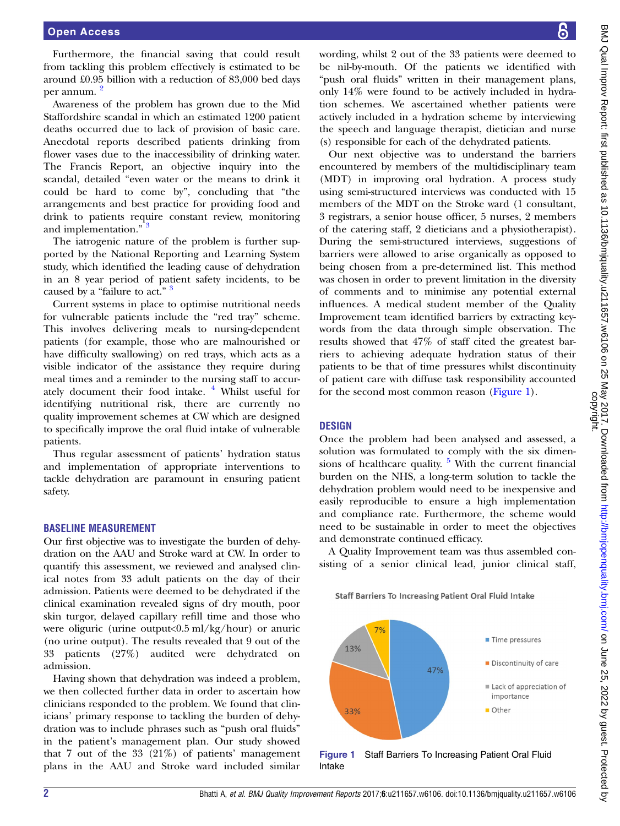Furthermore, the financial saving that could result from tackling this problem effectively is estimated to be around £0.95 billion with a reduction of 83,000 bed days per annum. [2](#page-5-0)

Awareness of the problem has grown due to the Mid Staffordshire scandal in which an estimated 1200 patient deaths occurred due to lack of provision of basic care. Anecdotal reports described patients drinking from flower vases due to the inaccessibility of drinking water. The Francis Report, an objective inquiry into the scandal, detailed "even water or the means to drink it could be hard to come by", concluding that "the arrangements and best practice for providing food and drink to patients require constant review, monitoring and implementation."<sup>[3](#page-5-0)</sup>

The iatrogenic nature of the problem is further supported by the National Reporting and Learning System study, which identified the leading cause of dehydration in an 8 year period of patient safety incidents, to be caused by a "failure to act." [3](#page-5-0)

Current systems in place to optimise nutritional needs for vulnerable patients include the "red tray" scheme. This involves delivering meals to nursing-dependent patients (for example, those who are malnourished or have difficulty swallowing) on red trays, which acts as a visible indicator of the assistance they require during meal times and a reminder to the nursing staff to accur-ately document their food intake.<sup>[4](#page-5-0)</sup> Whilst useful for identifying nutritional risk, there are currently no quality improvement schemes at CW which are designed to specifically improve the oral fluid intake of vulnerable patients.

Thus regular assessment of patients' hydration status and implementation of appropriate interventions to tackle dehydration are paramount in ensuring patient safety.

## BASELINE MEASUREMENT

Our first objective was to investigate the burden of dehydration on the AAU and Stroke ward at CW. In order to quantify this assessment, we reviewed and analysed clinical notes from 33 adult patients on the day of their admission. Patients were deemed to be dehydrated if the clinical examination revealed signs of dry mouth, poor skin turgor, delayed capillary refill time and those who were oliguric (urine output<0.5 ml/kg/hour) or anuric (no urine output). The results revealed that 9 out of the 33 patients (27%) audited were dehydrated on admission.

Having shown that dehydration was indeed a problem, we then collected further data in order to ascertain how clinicians responded to the problem. We found that clinicians' primary response to tackling the burden of dehydration was to include phrases such as "push oral fluids" in the patient's management plan. Our study showed that 7 out of the 33  $(21\%)$  of patients' management plans in the AAU and Stroke ward included similar

wording, whilst 2 out of the 33 patients were deemed to be nil-by-mouth. Of the patients we identified with "push oral fluids" written in their management plans, only 14% were found to be actively included in hydration schemes. We ascertained whether patients were actively included in a hydration scheme by interviewing the speech and language therapist, dietician and nurse (s) responsible for each of the dehydrated patients.

Our next objective was to understand the barriers encountered by members of the multidisciplinary team (MDT) in improving oral hydration. A process study using semi-structured interviews was conducted with 15 members of the MDT on the Stroke ward (1 consultant, 3 registrars, a senior house officer, 5 nurses, 2 members of the catering staff, 2 dieticians and a physiotherapist). During the semi-structured interviews, suggestions of barriers were allowed to arise organically as opposed to being chosen from a pre-determined list. This method was chosen in order to prevent limitation in the diversity of comments and to minimise any potential external influences. A medical student member of the Quality Improvement team identified barriers by extracting keywords from the data through simple observation. The results showed that 47% of staff cited the greatest barriers to achieving adequate hydration status of their patients to be that of time pressures whilst discontinuity of patient care with diffuse task responsibility accounted for the second most common reason (Figure 1).

# **DESIGN**

Once the problem had been analysed and assessed, a solution was formulated to comply with the six dimensions of healthcare quality.  $5$  With the current financial burden on the NHS, a long-term solution to tackle the dehydration problem would need to be inexpensive and easily reproducible to ensure a high implementation and compliance rate. Furthermore, the scheme would need to be sustainable in order to meet the objectives and demonstrate continued efficacy.

A Quality Improvement team was thus assembled consisting of a senior clinical lead, junior clinical staff,

Staff Barriers To Increasing Patient Oral Fluid Intake



Figure 1 Staff Barriers To Increasing Patient Oral Fluid Intake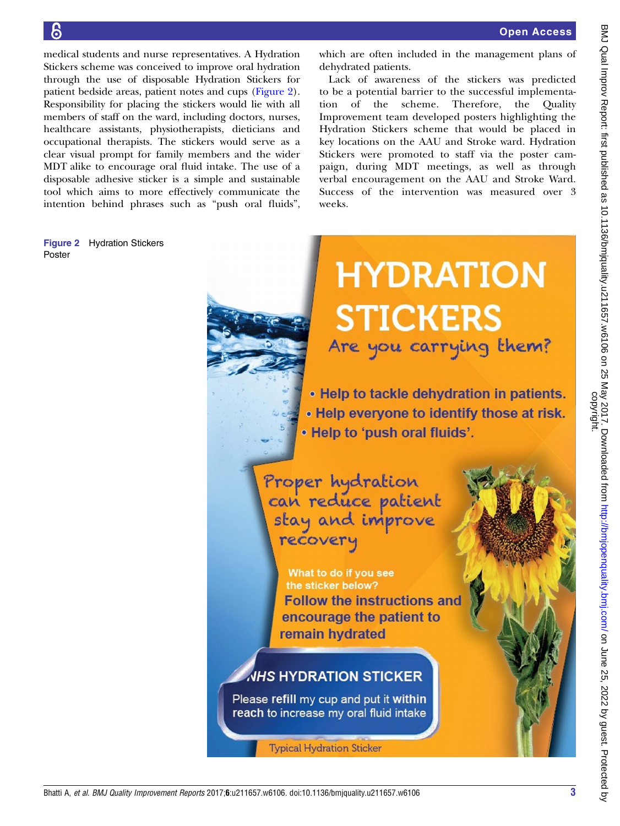medical students and nurse representatives. A Hydration Stickers scheme was conceived to improve oral hydration through the use of disposable Hydration Stickers for patient bedside areas, patient notes and cups (Figure 2). Responsibility for placing the stickers would lie with all members of staff on the ward, including doctors, nurses, healthcare assistants, physiotherapists, dieticians and occupational therapists. The stickers would serve as a clear visual prompt for family members and the wider MDT alike to encourage oral fluid intake. The use of a disposable adhesive sticker is a simple and sustainable tool which aims to more effectively communicate the intention behind phrases such as "push oral fluids",

Figure 2 Hydration Stickers Poster

which are often included in the management plans of dehydrated patients.

Lack of awareness of the stickers was predicted to be a potential barrier to the successful implementation of the scheme. Therefore, the Quality Improvement team developed posters highlighting the Hydration Stickers scheme that would be placed in key locations on the AAU and Stroke ward. Hydration Stickers were promoted to staff via the poster campaign, during MDT meetings, as well as through verbal encouragement on the AAU and Stroke Ward. Success of the intervention was measured over 3 weeks.

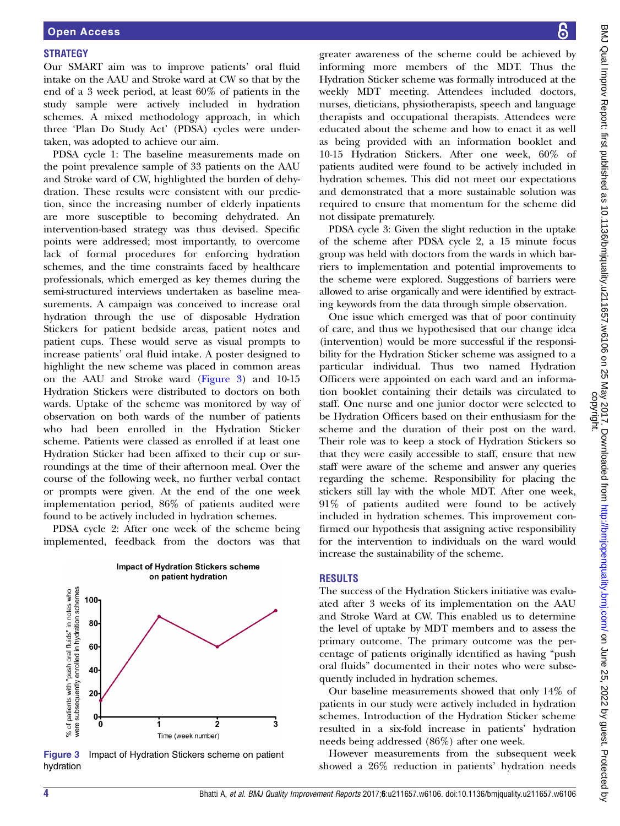## **STRATEGY**

Our SMART aim was to improve patients' oral fluid intake on the AAU and Stroke ward at CW so that by the end of a 3 week period, at least 60% of patients in the study sample were actively included in hydration schemes. A mixed methodology approach, in which three 'Plan Do Study Act' (PDSA) cycles were undertaken, was adopted to achieve our aim.

PDSA cycle 1: The baseline measurements made on the point prevalence sample of 33 patients on the AAU and Stroke ward of CW, highlighted the burden of dehydration. These results were consistent with our prediction, since the increasing number of elderly inpatients are more susceptible to becoming dehydrated. An intervention-based strategy was thus devised. Specific points were addressed; most importantly, to overcome lack of formal procedures for enforcing hydration schemes, and the time constraints faced by healthcare professionals, which emerged as key themes during the semi-structured interviews undertaken as baseline measurements. A campaign was conceived to increase oral hydration through the use of disposable Hydration Stickers for patient bedside areas, patient notes and patient cups. These would serve as visual prompts to increase patients' oral fluid intake. A poster designed to highlight the new scheme was placed in common areas on the AAU and Stroke ward (Figure 3) and 10-15 Hydration Stickers were distributed to doctors on both wards. Uptake of the scheme was monitored by way of observation on both wards of the number of patients who had been enrolled in the Hydration Sticker scheme. Patients were classed as enrolled if at least one Hydration Sticker had been affixed to their cup or surroundings at the time of their afternoon meal. Over the course of the following week, no further verbal contact or prompts were given. At the end of the one week implementation period, 86% of patients audited were found to be actively included in hydration schemes.

PDSA cycle 2: After one week of the scheme being implemented, feedback from the doctors was that



Figure 3 Impact of Hydration Stickers scheme on patient hydration

greater awareness of the scheme could be achieved by informing more members of the MDT. Thus the Hydration Sticker scheme was formally introduced at the weekly MDT meeting. Attendees included doctors, nurses, dieticians, physiotherapists, speech and language therapists and occupational therapists. Attendees were educated about the scheme and how to enact it as well as being provided with an information booklet and 10-15 Hydration Stickers. After one week, 60% of patients audited were found to be actively included in hydration schemes. This did not meet our expectations and demonstrated that a more sustainable solution was required to ensure that momentum for the scheme did not dissipate prematurely.

PDSA cycle 3: Given the slight reduction in the uptake of the scheme after PDSA cycle 2, a 15 minute focus group was held with doctors from the wards in which barriers to implementation and potential improvements to the scheme were explored. Suggestions of barriers were allowed to arise organically and were identified by extracting keywords from the data through simple observation.

One issue which emerged was that of poor continuity of care, and thus we hypothesised that our change idea (intervention) would be more successful if the responsibility for the Hydration Sticker scheme was assigned to a particular individual. Thus two named Hydration Officers were appointed on each ward and an information booklet containing their details was circulated to staff. One nurse and one junior doctor were selected to be Hydration Officers based on their enthusiasm for the scheme and the duration of their post on the ward. Their role was to keep a stock of Hydration Stickers so that they were easily accessible to staff, ensure that new staff were aware of the scheme and answer any queries regarding the scheme. Responsibility for placing the stickers still lay with the whole MDT. After one week, 91% of patients audited were found to be actively included in hydration schemes. This improvement confirmed our hypothesis that assigning active responsibility for the intervention to individuals on the ward would increase the sustainability of the scheme.

## RESULTS

The success of the Hydration Stickers initiative was evaluated after 3 weeks of its implementation on the AAU and Stroke Ward at CW. This enabled us to determine the level of uptake by MDT members and to assess the primary outcome. The primary outcome was the percentage of patients originally identified as having "push oral fluids" documented in their notes who were subsequently included in hydration schemes.

Our baseline measurements showed that only 14% of patients in our study were actively included in hydration schemes. Introduction of the Hydration Sticker scheme resulted in a six-fold increase in patients' hydration needs being addressed (86%) after one week.

However measurements from the subsequent week showed a 26% reduction in patients' hydration needs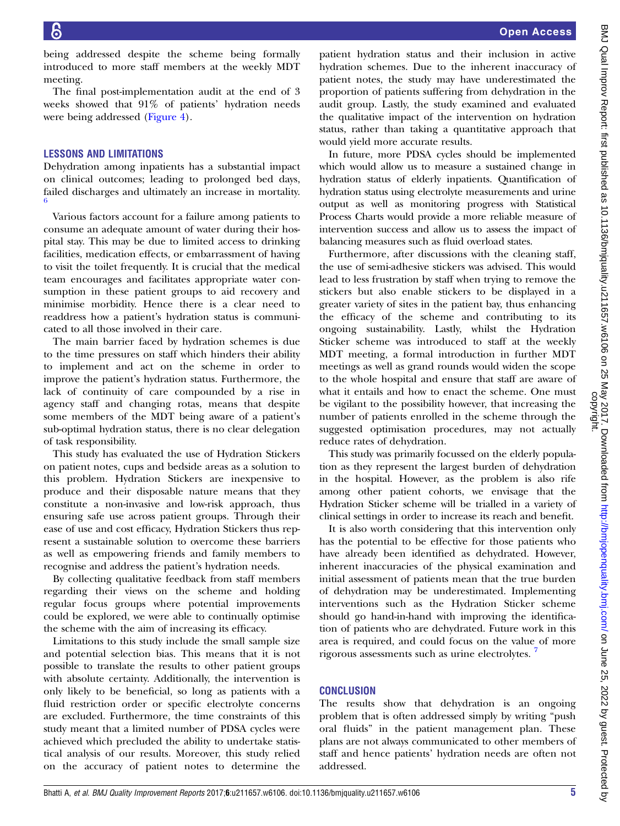being addressed despite the scheme being formally introduced to more staff members at the weekly MDT meeting.

The final post-implementation audit at the end of 3 weeks showed that 91% of patients' hydration needs were being addressed (Figure 4).

# LESSONS AND LIMITATIONS

Dehydration among inpatients has a substantial impact on clinical outcomes; leading to prolonged bed days, failed discharges and ultimately an increase in mortality. [6](#page-5-0)

Various factors account for a failure among patients to consume an adequate amount of water during their hospital stay. This may be due to limited access to drinking facilities, medication effects, or embarrassment of having to visit the toilet frequently. It is crucial that the medical team encourages and facilitates appropriate water consumption in these patient groups to aid recovery and minimise morbidity. Hence there is a clear need to readdress how a patient's hydration status is communicated to all those involved in their care.

The main barrier faced by hydration schemes is due to the time pressures on staff which hinders their ability to implement and act on the scheme in order to improve the patient's hydration status. Furthermore, the lack of continuity of care compounded by a rise in agency staff and changing rotas, means that despite some members of the MDT being aware of a patient's sub-optimal hydration status, there is no clear delegation of task responsibility.

This study has evaluated the use of Hydration Stickers on patient notes, cups and bedside areas as a solution to this problem. Hydration Stickers are inexpensive to produce and their disposable nature means that they constitute a non-invasive and low-risk approach, thus ensuring safe use across patient groups. Through their ease of use and cost efficacy, Hydration Stickers thus represent a sustainable solution to overcome these barriers as well as empowering friends and family members to recognise and address the patient's hydration needs.

By collecting qualitative feedback from staff members regarding their views on the scheme and holding regular focus groups where potential improvements could be explored, we were able to continually optimise the scheme with the aim of increasing its efficacy.

Limitations to this study include the small sample size and potential selection bias. This means that it is not possible to translate the results to other patient groups with absolute certainty. Additionally, the intervention is only likely to be beneficial, so long as patients with a fluid restriction order or specific electrolyte concerns are excluded. Furthermore, the time constraints of this study meant that a limited number of PDSA cycles were achieved which precluded the ability to undertake statistical analysis of our results. Moreover, this study relied on the accuracy of patient notes to determine the

patient hydration status and their inclusion in active hydration schemes. Due to the inherent inaccuracy of patient notes, the study may have underestimated the proportion of patients suffering from dehydration in the audit group. Lastly, the study examined and evaluated the qualitative impact of the intervention on hydration status, rather than taking a quantitative approach that would yield more accurate results.

In future, more PDSA cycles should be implemented which would allow us to measure a sustained change in hydration status of elderly inpatients. Quantification of hydration status using electrolyte measurements and urine output as well as monitoring progress with Statistical Process Charts would provide a more reliable measure of intervention success and allow us to assess the impact of balancing measures such as fluid overload states.

Furthermore, after discussions with the cleaning staff, the use of semi-adhesive stickers was advised. This would lead to less frustration by staff when trying to remove the stickers but also enable stickers to be displayed in a greater variety of sites in the patient bay, thus enhancing the efficacy of the scheme and contributing to its ongoing sustainability. Lastly, whilst the Hydration Sticker scheme was introduced to staff at the weekly MDT meeting, a formal introduction in further MDT meetings as well as grand rounds would widen the scope to the whole hospital and ensure that staff are aware of what it entails and how to enact the scheme. One must be vigilant to the possibility however, that increasing the number of patients enrolled in the scheme through the suggested optimisation procedures, may not actually reduce rates of dehydration.

This study was primarily focussed on the elderly population as they represent the largest burden of dehydration in the hospital. However, as the problem is also rife among other patient cohorts, we envisage that the Hydration Sticker scheme will be trialled in a variety of clinical settings in order to increase its reach and benefit.

It is also worth considering that this intervention only has the potential to be effective for those patients who have already been identified as dehydrated. However, inherent inaccuracies of the physical examination and initial assessment of patients mean that the true burden of dehydration may be underestimated. Implementing interventions such as the Hydration Sticker scheme should go hand-in-hand with improving the identification of patients who are dehydrated. Future work in this area is required, and could focus on the value of more rigorous assessments such as urine electrolytes. [7](#page-5-0)

# **CONCLUSION**

The results show that dehydration is an ongoing problem that is often addressed simply by writing "push oral fluids" in the patient management plan. These plans are not always communicated to other members of staff and hence patients' hydration needs are often not addressed.